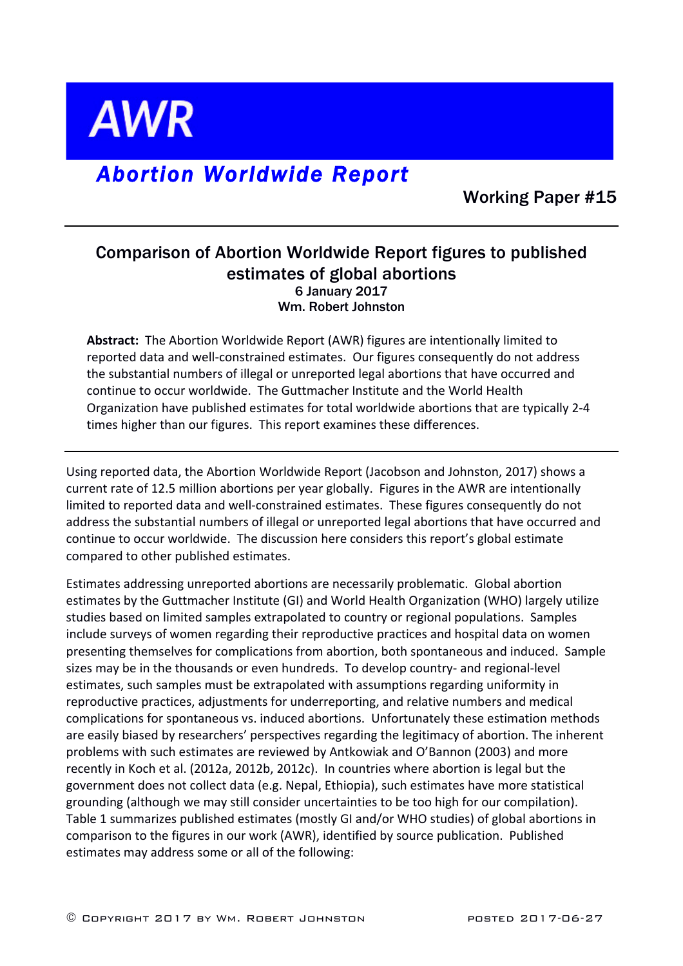**AWR** 

# *Abortion Worldwide Report*

Working Paper #15

## Comparison of Abortion Worldwide Report figures to published estimates of global abortions 6 January 2017 Wm. Robert Johnston

**Abstract:** The Abortion Worldwide Report (AWR) figures are intentionally limited to reported data and well-constrained estimates. Our figures consequently do not address the substantial numbers of illegal or unreported legal abortions that have occurred and continue to occur worldwide. The Guttmacher Institute and the World Health Organization have published estimates for total worldwide abortions that are typically 2-4 times higher than our figures. This report examines these differences.

Using reported data, the Abortion Worldwide Report (Jacobson and Johnston, 2017) shows a current rate of 12.5 million abortions per year globally. Figures in the AWR are intentionally limited to reported data and well-constrained estimates. These figures consequently do not address the substantial numbers of illegal or unreported legal abortions that have occurred and continue to occur worldwide. The discussion here considers this report's global estimate compared to other published estimates.

Estimates addressing unreported abortions are necessarily problematic. Global abortion estimates by the Guttmacher Institute (GI) and World Health Organization (WHO) largely utilize studies based on limited samples extrapolated to country or regional populations. Samples include surveys of women regarding their reproductive practices and hospital data on women presenting themselves for complications from abortion, both spontaneous and induced. Sample sizes may be in the thousands or even hundreds. To develop country- and regional-level estimates, such samples must be extrapolated with assumptions regarding uniformity in reproductive practices, adjustments for underreporting, and relative numbers and medical complications for spontaneous vs. induced abortions. Unfortunately these estimation methods are easily biased by researchers' perspectives regarding the legitimacy of abortion. The inherent problems with such estimates are reviewed by Antkowiak and O'Bannon (2003) and more recently in Koch et al. (2012a, 2012b, 2012c). In countries where abortion is legal but the government does not collect data (e.g. Nepal, Ethiopia), such estimates have more statistical grounding (although we may still consider uncertainties to be too high for our compilation). Table 1 summarizes published estimates (mostly GI and/or WHO studies) of global abortions in comparison to the figures in our work (AWR), identified by source publication. Published estimates may address some or all of the following: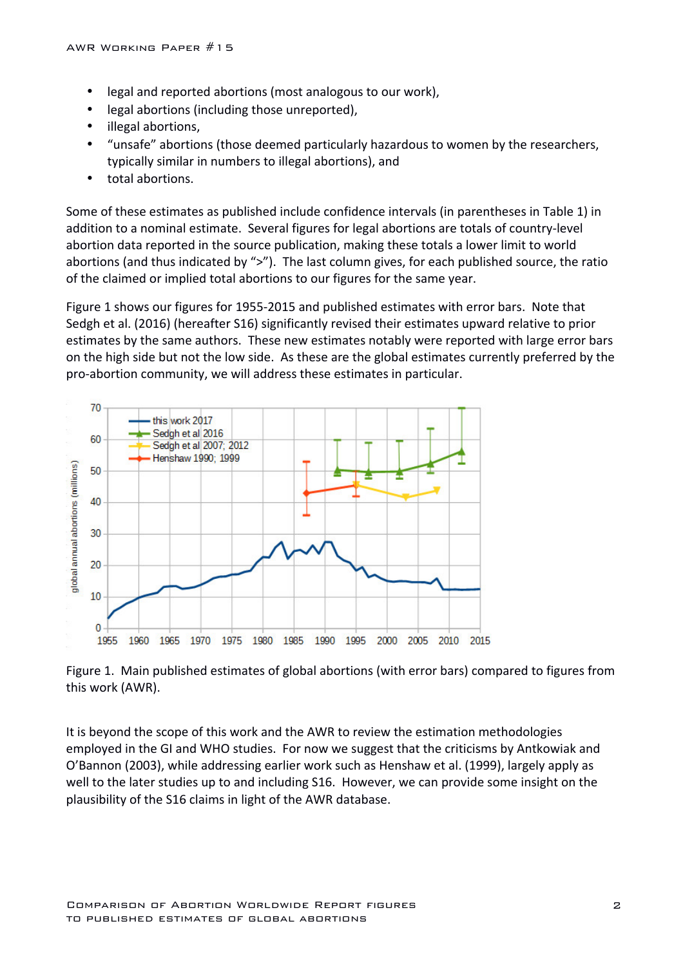- legal and reported abortions (most analogous to our work),
- legal abortions (including those unreported),
- illegal abortions,
- "unsafe" abortions (those deemed particularly hazardous to women by the researchers, typically similar in numbers to illegal abortions), and
- total abortions.

Some of these estimates as published include confidence intervals (in parentheses in Table 1) in addition to a nominal estimate. Several figures for legal abortions are totals of country-level abortion data reported in the source publication, making these totals a lower limit to world abortions (and thus indicated by ">"). The last column gives, for each published source, the ratio of the claimed or implied total abortions to our figures for the same year.

Figure 1 shows our figures for 1955-2015 and published estimates with error bars. Note that Sedgh et al. (2016) (hereafter S16) significantly revised their estimates upward relative to prior estimates by the same authors. These new estimates notably were reported with large error bars on the high side but not the low side. As these are the global estimates currently preferred by the pro-abortion community, we will address these estimates in particular.



Figure 1. Main published estimates of global abortions (with error bars) compared to figures from this work (AWR).

It is beyond the scope of this work and the AWR to review the estimation methodologies employed in the GI and WHO studies. For now we suggest that the criticisms by Antkowiak and O'Bannon (2003), while addressing earlier work such as Henshaw et al. (1999), largely apply as well to the later studies up to and including S16. However, we can provide some insight on the plausibility of the S16 claims in light of the AWR database.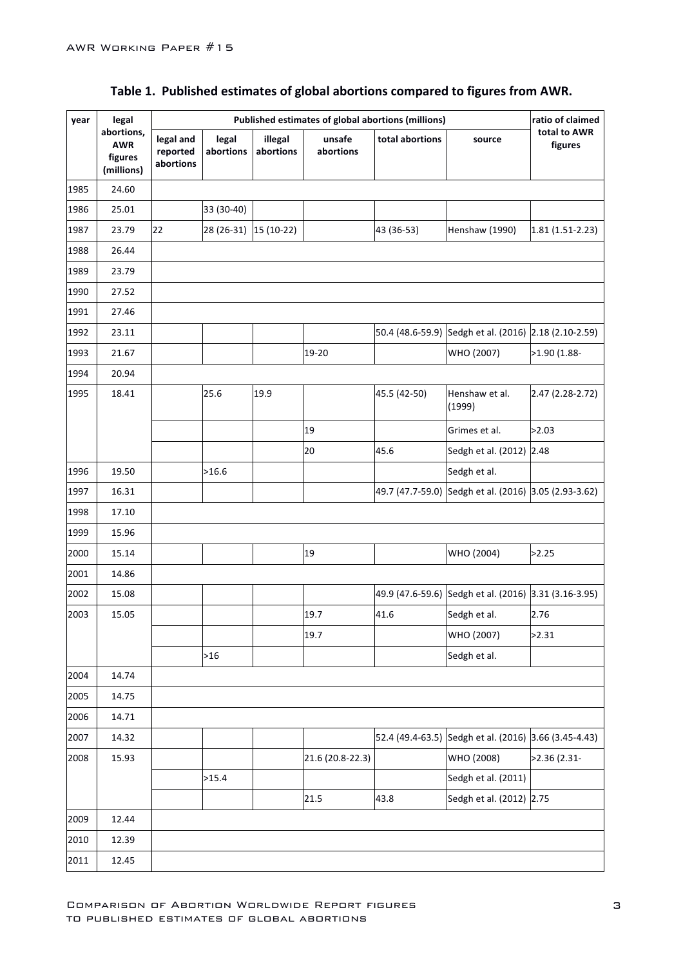| year | legal                                             |                                    | Published estimates of global abortions (millions) | ratio of claimed     |                     |                 |                                                       |                         |
|------|---------------------------------------------------|------------------------------------|----------------------------------------------------|----------------------|---------------------|-----------------|-------------------------------------------------------|-------------------------|
|      | abortions,<br><b>AWR</b><br>figures<br>(millions) | legal and<br>reported<br>abortions | legal<br>abortions                                 | illegal<br>abortions | unsafe<br>abortions | total abortions | source                                                | total to AWR<br>figures |
| 1985 | 24.60                                             |                                    |                                                    |                      |                     |                 |                                                       |                         |
| 1986 | 25.01                                             |                                    | 33 (30-40)                                         |                      |                     |                 |                                                       |                         |
| 1987 | 23.79                                             | 22                                 | 28 (26-31)                                         | $15(10-22)$          |                     | 43 (36-53)      | <b>Henshaw (1990)</b>                                 | $1.81(1.51-2.23)$       |
| 1988 | 26.44                                             |                                    |                                                    |                      |                     |                 |                                                       |                         |
| 1989 | 23.79                                             |                                    |                                                    |                      |                     |                 |                                                       |                         |
| 1990 | 27.52                                             |                                    |                                                    |                      |                     |                 |                                                       |                         |
| 1991 | 27.46                                             |                                    |                                                    |                      |                     |                 |                                                       |                         |
| 1992 | 23.11                                             |                                    |                                                    |                      |                     |                 | 50.4 (48.6-59.9) Sedgh et al. (2016) 2.18 (2.10-2.59) |                         |
| 1993 | 21.67                                             |                                    |                                                    |                      | 19-20               |                 | WHO (2007)                                            | >1.90 (1.88-            |
| 1994 | 20.94                                             |                                    |                                                    |                      |                     |                 |                                                       |                         |
| 1995 | 18.41                                             |                                    | 25.6                                               | 19.9                 |                     | 45.5 (42-50)    | Henshaw et al.<br>(1999)                              | 2.47 (2.28-2.72)        |
|      |                                                   |                                    |                                                    |                      | 19                  |                 | Grimes et al.                                         | >2.03                   |
|      |                                                   |                                    |                                                    |                      | 20                  | 45.6            | Sedgh et al. (2012) 2.48                              |                         |
| 1996 | 19.50                                             |                                    | >16.6                                              |                      |                     |                 | Sedgh et al.                                          |                         |
| 1997 | 16.31                                             |                                    |                                                    |                      |                     |                 | 49.7 (47.7-59.0) Sedgh et al. (2016) 3.05 (2.93-3.62) |                         |
| 1998 | 17.10                                             |                                    |                                                    |                      |                     |                 |                                                       |                         |
| 1999 | 15.96                                             |                                    |                                                    |                      |                     |                 |                                                       |                         |
| 2000 | 15.14                                             |                                    |                                                    |                      | 19                  |                 | WHO (2004)                                            | >2.25                   |
| 2001 | 14.86                                             |                                    |                                                    |                      |                     |                 |                                                       |                         |
| 2002 | 15.08                                             |                                    |                                                    |                      |                     |                 | 49.9 (47.6-59.6) Sedgh et al. (2016) 3.31 (3.16-3.95) |                         |
| 2003 | 15.05                                             |                                    |                                                    |                      | 19.7                | 41.6            | Sedgh et al.                                          | 2.76                    |
|      |                                                   |                                    |                                                    |                      | 19.7                |                 | WHO (2007)                                            | >2.31                   |
|      |                                                   |                                    | $>16$                                              |                      |                     |                 | Sedgh et al.                                          |                         |
| 2004 | 14.74                                             |                                    |                                                    |                      |                     |                 |                                                       |                         |
| 2005 | 14.75                                             |                                    |                                                    |                      |                     |                 |                                                       |                         |
| 2006 | 14.71                                             |                                    |                                                    |                      |                     |                 |                                                       |                         |
| 2007 | 14.32                                             |                                    |                                                    |                      |                     |                 | 52.4 (49.4-63.5) Sedgh et al. (2016) 3.66 (3.45-4.43) |                         |
| 2008 | 15.93                                             |                                    |                                                    |                      | 21.6 (20.8-22.3)    |                 | WHO (2008)                                            | >2.36 (2.31-            |
|      |                                                   |                                    | >15.4                                              |                      |                     |                 | Sedgh et al. (2011)                                   |                         |
|      |                                                   |                                    |                                                    |                      | 21.5                | 43.8            | Sedgh et al. (2012) 2.75                              |                         |
| 2009 | 12.44                                             |                                    |                                                    |                      |                     |                 |                                                       |                         |
| 2010 | 12.39                                             |                                    |                                                    |                      |                     |                 |                                                       |                         |
| 2011 | 12.45                                             |                                    |                                                    |                      |                     |                 |                                                       |                         |

## Table 1. Published estimates of global abortions compared to figures from AWR.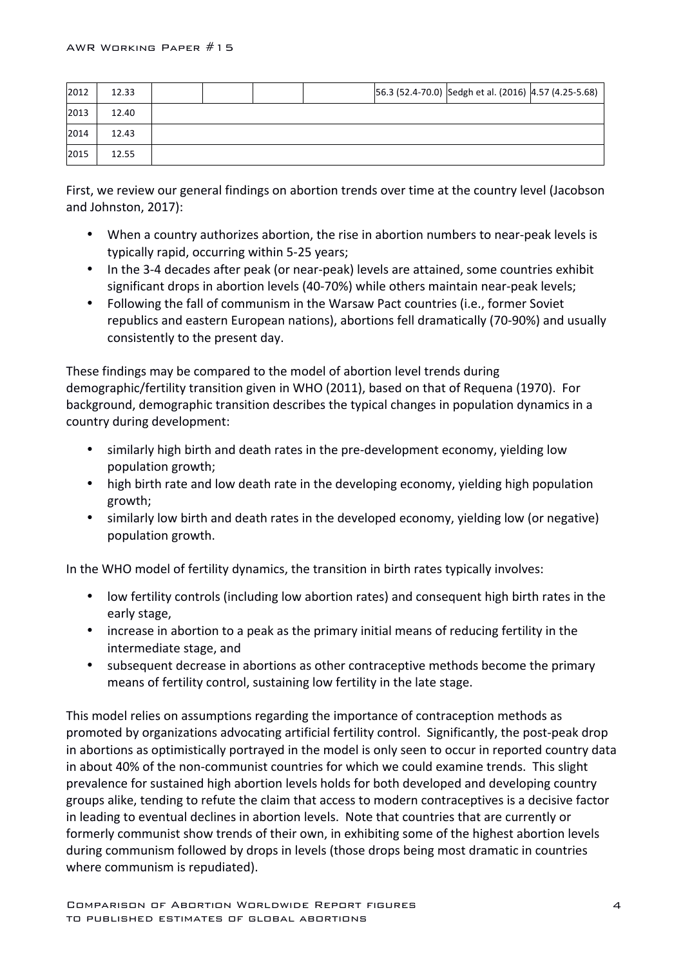| 2012 | 12.33 |  |  | 56.3 (52.4-70.0) Sedgh et al. (2016) 4.57 (4.25-5.68) |  |
|------|-------|--|--|-------------------------------------------------------|--|
| 2013 | 12.40 |  |  |                                                       |  |
| 2014 | 12.43 |  |  |                                                       |  |
| 2015 | 12.55 |  |  |                                                       |  |

First, we review our general findings on abortion trends over time at the country level (Jacobson and Johnston, 2017):

- When a country authorizes abortion, the rise in abortion numbers to near-peak levels is typically rapid, occurring within 5-25 years;
- In the 3-4 decades after peak (or near-peak) levels are attained, some countries exhibit significant drops in abortion levels (40-70%) while others maintain near-peak levels;
- Following the fall of communism in the Warsaw Pact countries (i.e., former Soviet republics and eastern European nations), abortions fell dramatically (70-90%) and usually consistently to the present day.

These findings may be compared to the model of abortion level trends during demographic/fertility transition given in WHO (2011), based on that of Requena (1970). For background, demographic transition describes the typical changes in population dynamics in a country during development:

- similarly high birth and death rates in the pre-development economy, yielding low population growth;
- high birth rate and low death rate in the developing economy, yielding high population growth;
- similarly low birth and death rates in the developed economy, yielding low (or negative) population growth.

In the WHO model of fertility dynamics, the transition in birth rates typically involves:

- low fertility controls (including low abortion rates) and consequent high birth rates in the early stage,
- increase in abortion to a peak as the primary initial means of reducing fertility in the intermediate stage, and
- subsequent decrease in abortions as other contraceptive methods become the primary means of fertility control, sustaining low fertility in the late stage.

This model relies on assumptions regarding the importance of contraception methods as promoted by organizations advocating artificial fertility control. Significantly, the post-peak drop in abortions as optimistically portrayed in the model is only seen to occur in reported country data in about 40% of the non-communist countries for which we could examine trends. This slight prevalence for sustained high abortion levels holds for both developed and developing country groups alike, tending to refute the claim that access to modern contraceptives is a decisive factor in leading to eventual declines in abortion levels. Note that countries that are currently or formerly communist show trends of their own, in exhibiting some of the highest abortion levels during communism followed by drops in levels (those drops being most dramatic in countries where communism is repudiated).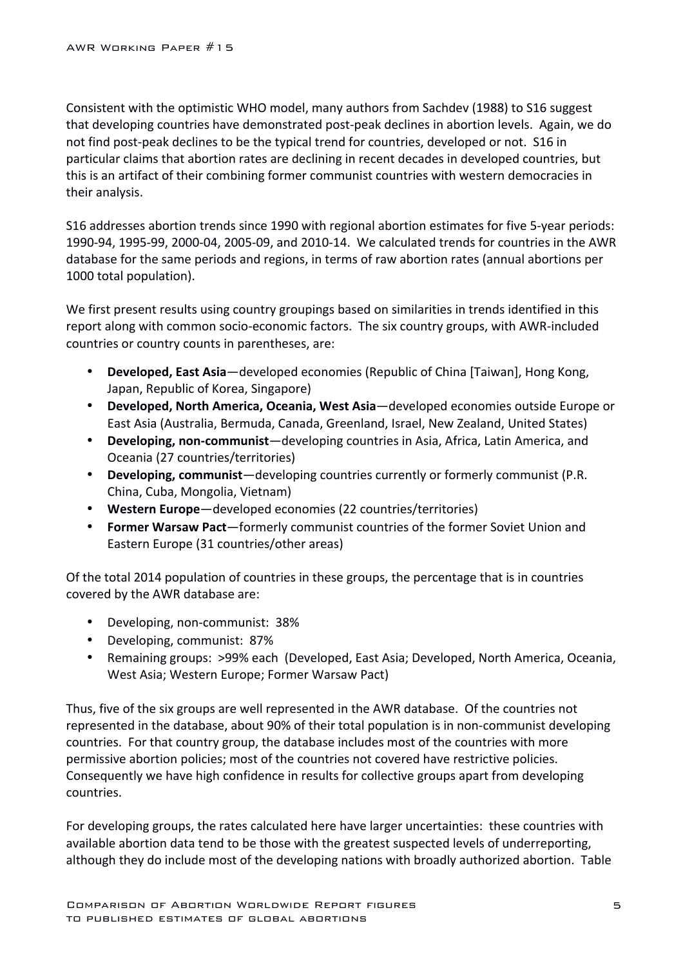Consistent with the optimistic WHO model, many authors from Sachdev (1988) to S16 suggest that developing countries have demonstrated post-peak declines in abortion levels. Again, we do not find post-peak declines to be the typical trend for countries, developed or not. S16 in particular claims that abortion rates are declining in recent decades in developed countries, but this is an artifact of their combining former communist countries with western democracies in their analysis.

S16 addresses abortion trends since 1990 with regional abortion estimates for five 5-year periods: 1990-94, 1995-99, 2000-04, 2005-09, and 2010-14. We calculated trends for countries in the AWR database for the same periods and regions, in terms of raw abortion rates (annual abortions per 1000 total population).

We first present results using country groupings based on similarities in trends identified in this report along with common socio-economic factors. The six country groups, with AWR-included countries or country counts in parentheses, are:

- **Developed, East Asia**—developed economies (Republic of China [Taiwan], Hong Kong, Japan, Republic of Korea, Singapore)
- Developed, North America, Oceania, West Asia-developed economies outside Europe or East Asia (Australia, Bermuda, Canada, Greenland, Israel, New Zealand, United States)
- **Developing, non-communist**—developing countries in Asia, Africa, Latin America, and Oceania (27 countries/territories)
- **Developing, communist**—developing countries currently or formerly communist (P.R. China, Cuba, Mongolia, Vietnam)
- Western Europe-developed economies (22 countries/territories)
- **Former Warsaw Pact**—formerly communist countries of the former Soviet Union and Eastern Europe (31 countries/other areas)

Of the total 2014 population of countries in these groups, the percentage that is in countries covered by the AWR database are:

- Developing, non-communist: 38%
- Developing, communist: 87%
- Remaining groups: >99% each (Developed, East Asia; Developed, North America, Oceania, West Asia; Western Europe; Former Warsaw Pact)

Thus, five of the six groups are well represented in the AWR database. Of the countries not represented in the database, about 90% of their total population is in non-communist developing countries. For that country group, the database includes most of the countries with more permissive abortion policies; most of the countries not covered have restrictive policies. Consequently we have high confidence in results for collective groups apart from developing countries.

For developing groups, the rates calculated here have larger uncertainties: these countries with available abortion data tend to be those with the greatest suspected levels of underreporting, although they do include most of the developing nations with broadly authorized abortion. Table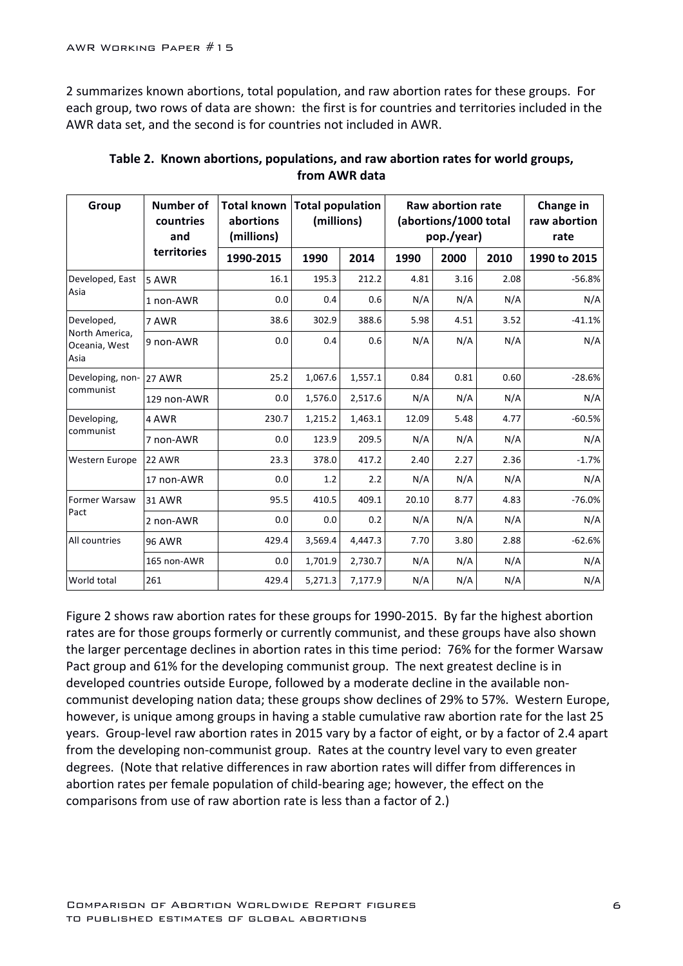2 summarizes known abortions, total population, and raw abortion rates for these groups. For each group, two rows of data are shown: the first is for countries and territories included in the AWR data set, and the second is for countries not included in AWR.

| Group                                   | Number of<br>countries<br>and | <b>Total known</b><br>abortions<br>(millions) | <b>Total population</b><br>(millions) |         |       | <b>Raw abortion rate</b><br>(abortions/1000 total<br>pop./year) | Change in<br>raw abortion<br>rate |              |
|-----------------------------------------|-------------------------------|-----------------------------------------------|---------------------------------------|---------|-------|-----------------------------------------------------------------|-----------------------------------|--------------|
|                                         | territories                   | 1990-2015                                     | 1990                                  | 2014    | 1990  | 2000                                                            | 2010                              | 1990 to 2015 |
| Developed, East                         | 5 AWR                         | 16.1                                          | 195.3                                 | 212.2   | 4.81  | 3.16                                                            | 2.08                              | $-56.8%$     |
| Asia                                    | 1 non-AWR                     | 0.0                                           | 0.4                                   | 0.6     | N/A   | N/A                                                             | N/A                               | N/A          |
| Developed,                              | 7 AWR                         | 38.6                                          | 302.9                                 | 388.6   | 5.98  | 4.51                                                            | 3.52                              | $-41.1%$     |
| North America,<br>Oceania, West<br>Asia | 9 non-AWR                     | 0.0                                           | 0.4                                   | 0.6     | N/A   | N/A                                                             | N/A                               | N/A          |
| Developing, non-                        | 27 AWR                        | 25.2                                          | 1,067.6                               | 1,557.1 | 0.84  | 0.81                                                            | 0.60                              | $-28.6%$     |
| communist                               | 129 non-AWR                   | 0.0                                           | 1,576.0                               | 2,517.6 | N/A   | N/A                                                             | N/A                               | N/A          |
| Developing,                             | 4 AWR                         | 230.7                                         | 1,215.2                               | 1,463.1 | 12.09 | 5.48                                                            | 4.77                              | $-60.5%$     |
| communist                               | 7 non-AWR                     | 0.0                                           | 123.9                                 | 209.5   | N/A   | N/A                                                             | N/A                               | N/A          |
| Western Europe                          | 22 AWR                        | 23.3                                          | 378.0                                 | 417.2   | 2.40  | 2.27                                                            | 2.36                              | $-1.7%$      |
|                                         | 17 non-AWR                    | 0.0                                           | 1.2                                   | 2.2     | N/A   | N/A                                                             | N/A                               | N/A          |
| Former Warsaw                           | <b>31 AWR</b>                 | 95.5                                          | 410.5                                 | 409.1   | 20.10 | 8.77                                                            | 4.83                              | $-76.0%$     |
| Pact                                    | 2 non-AWR                     | 0.0                                           | 0.0                                   | 0.2     | N/A   | N/A                                                             | N/A                               | N/A          |
| All countries                           | <b>96 AWR</b>                 | 429.4                                         | 3,569.4                               | 4,447.3 | 7.70  | 3.80                                                            | 2.88                              | $-62.6%$     |
|                                         | 165 non-AWR                   | 0.0                                           | 1,701.9                               | 2,730.7 | N/A   | N/A                                                             | N/A                               | N/A          |
| World total                             | 261                           | 429.4                                         | 5,271.3                               | 7,177.9 | N/A   | N/A                                                             | N/A                               | N/A          |

Table 2. Known abortions, populations, and raw abortion rates for world groups, **from AWR data**

Figure 2 shows raw abortion rates for these groups for 1990-2015. By far the highest abortion rates are for those groups formerly or currently communist, and these groups have also shown the larger percentage declines in abortion rates in this time period: 76% for the former Warsaw Pact group and 61% for the developing communist group. The next greatest decline is in developed countries outside Europe, followed by a moderate decline in the available noncommunist developing nation data; these groups show declines of 29% to 57%. Western Europe, however, is unique among groups in having a stable cumulative raw abortion rate for the last 25 years. Group-level raw abortion rates in 2015 vary by a factor of eight, or by a factor of 2.4 apart from the developing non-communist group. Rates at the country level vary to even greater degrees. (Note that relative differences in raw abortion rates will differ from differences in abortion rates per female population of child-bearing age; however, the effect on the comparisons from use of raw abortion rate is less than a factor of 2.)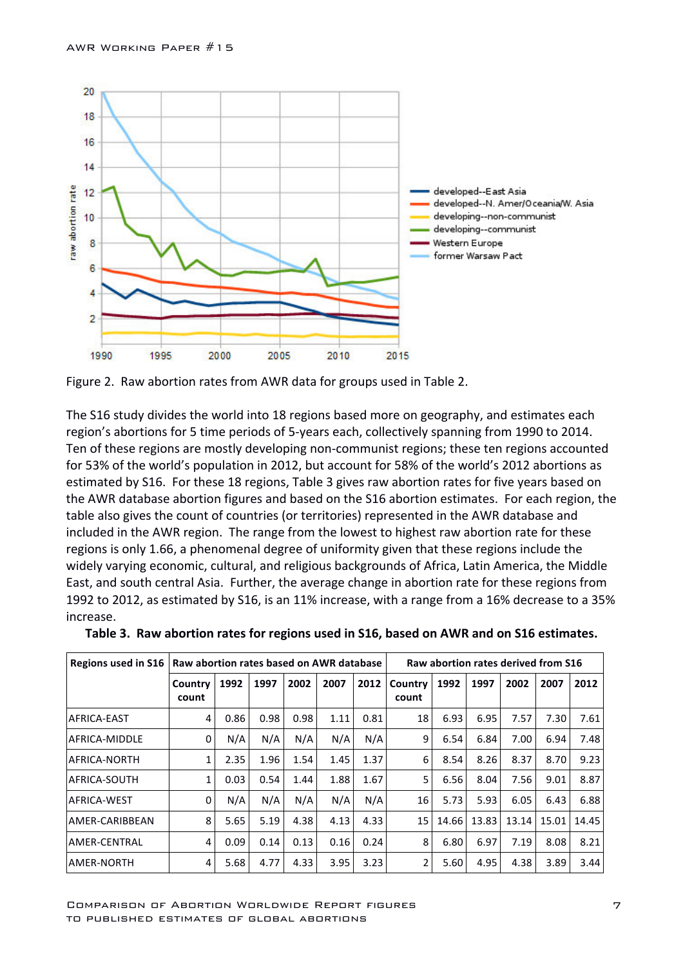

Figure 2. Raw abortion rates from AWR data for groups used in Table 2.

The S16 study divides the world into 18 regions based more on geography, and estimates each region's abortions for 5 time periods of 5-years each, collectively spanning from 1990 to 2014. Ten of these regions are mostly developing non-communist regions; these ten regions accounted for 53% of the world's population in 2012, but account for 58% of the world's 2012 abortions as estimated by S16. For these 18 regions, Table 3 gives raw abortion rates for five years based on the AWR database abortion figures and based on the S16 abortion estimates. For each region, the table also gives the count of countries (or territories) represented in the AWR database and included in the AWR region. The range from the lowest to highest raw abortion rate for these regions is only 1.66, a phenomenal degree of uniformity given that these regions include the widely varying economic, cultural, and religious backgrounds of Africa, Latin America, the Middle East, and south central Asia. Further, the average change in abortion rate for these regions from 1992 to 2012, as estimated by S16, is an 11% increase, with a range from a 16% decrease to a 35% increase. 

| Regions used in S16 |                  | Raw abortion rates based on AWR database |      |      |      |      |                  |       | Raw abortion rates derived from S16 |       |       |       |  |  |
|---------------------|------------------|------------------------------------------|------|------|------|------|------------------|-------|-------------------------------------|-------|-------|-------|--|--|
|                     | Country<br>count | 1992                                     | 1997 | 2002 | 2007 | 2012 | Country<br>count | 1992  | 1997                                | 2002  | 2007  | 2012  |  |  |
| AFRICA-EAST         | 4                | 0.86                                     | 0.98 | 0.98 | 1.11 | 0.81 | 18               | 6.93  | 6.95                                | 7.57  | 7.30  | 7.61  |  |  |
| AFRICA-MIDDLE       | 0                | N/A                                      | N/A  | N/A  | N/A  | N/A  | 9                | 6.54  | 6.84                                | 7.00  | 6.94  | 7.48  |  |  |
| AFRICA-NORTH        | 1                | 2.35                                     | 1.96 | 1.54 | 1.45 | 1.37 | 6                | 8.54  | 8.26                                | 8.37  | 8.70  | 9.23  |  |  |
| AFRICA-SOUTH        | 1                | 0.03                                     | 0.54 | 1.44 | 1.88 | 1.67 | 5                | 6.56  | 8.04                                | 7.56  | 9.01  | 8.87  |  |  |
| AFRICA-WEST         | 0                | N/A                                      | N/A  | N/A  | N/A  | N/A  | 16               | 5.73  | 5.93                                | 6.05  | 6.43  | 6.88  |  |  |
| AMER-CARIBBEAN      | 8                | 5.65                                     | 5.19 | 4.38 | 4.13 | 4.33 | 15               | 14.66 | 13.83                               | 13.14 | 15.01 | 14.45 |  |  |
| AMER-CENTRAL        | 4                | 0.09                                     | 0.14 | 0.13 | 0.16 | 0.24 | 8                | 6.80  | 6.97                                | 7.19  | 8.08  | 8.21  |  |  |
| AMER-NORTH          | 4                | 5.68                                     | 4.77 | 4.33 | 3.95 | 3.23 | $\overline{2}$   | 5.60  | 4.95                                | 4.38  | 3.89  | 3.44  |  |  |

|  | Table 3. Raw abortion rates for regions used in S16, based on AWR and on S16 estimates. |  |  |  |  |  |  |  |
|--|-----------------------------------------------------------------------------------------|--|--|--|--|--|--|--|
|--|-----------------------------------------------------------------------------------------|--|--|--|--|--|--|--|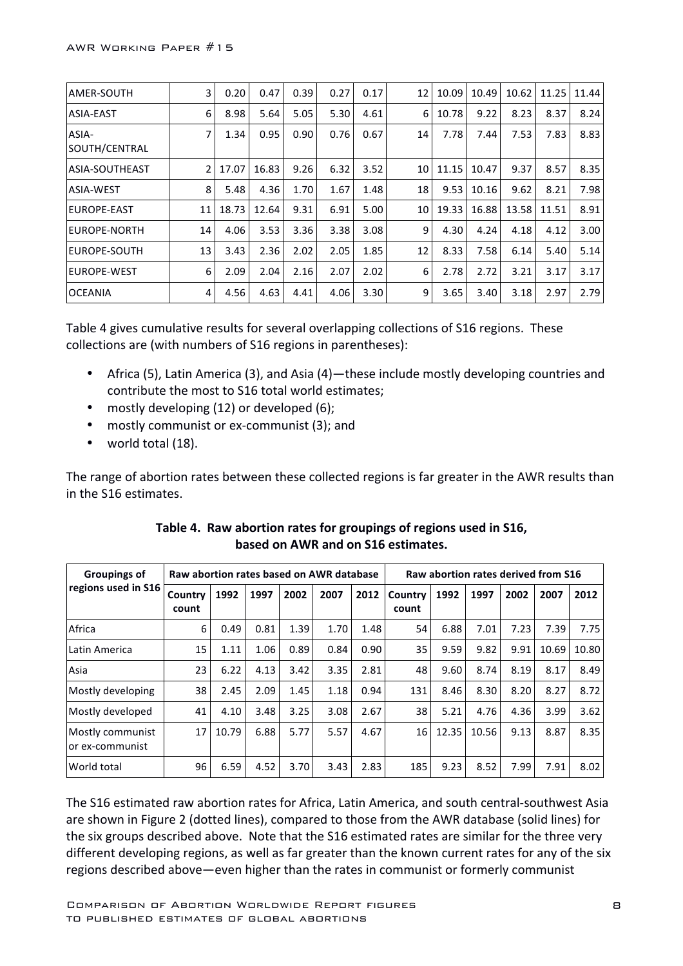| AMER-SOUTH             | 3              | 0.20  | 0.47  | 0.39 | 0.27 | 0.17 | 12 | 10.09 | 10.49 | 10.62 | 11.25 | 11.44 |
|------------------------|----------------|-------|-------|------|------|------|----|-------|-------|-------|-------|-------|
| ASIA-EAST              | 6              | 8.98  | 5.64  | 5.05 | 5.30 | 4.61 | 6  | 10.78 | 9.22  | 8.23  | 8.37  | 8.24  |
| ASIA-<br>SOUTH/CENTRAL | 7              | 1.34  | 0.95  | 0.90 | 0.76 | 0.67 | 14 | 7.78  | 7.44  | 7.53  | 7.83  | 8.83  |
| ASIA-SOUTHEAST         | $\overline{2}$ | 17.07 | 16.83 | 9.26 | 6.32 | 3.52 | 10 | 11.15 | 10.47 | 9.37  | 8.57  | 8.35  |
| ASIA-WEST              | 8              | 5.48  | 4.36  | 1.70 | 1.67 | 1.48 | 18 | 9.53  | 10.16 | 9.62  | 8.21  | 7.98  |
| EUROPE-EAST            | 11             | 18.73 | 12.64 | 9.31 | 6.91 | 5.00 | 10 | 19.33 | 16.88 | 13.58 | 11.51 | 8.91  |
| EUROPE-NORTH           | 14             | 4.06  | 3.53  | 3.36 | 3.38 | 3.08 | 9  | 4.30  | 4.24  | 4.18  | 4.12  | 3.00  |
| EUROPE-SOUTH           | 13             | 3.43  | 2.36  | 2.02 | 2.05 | 1.85 | 12 | 8.33  | 7.58  | 6.14  | 5.40  | 5.14  |
| EUROPE-WEST            | 6              | 2.09  | 2.04  | 2.16 | 2.07 | 2.02 | 6  | 2.78  | 2.72  | 3.21  | 3.17  | 3.17  |
| <b>OCEANIA</b>         | 4              | 4.56  | 4.63  | 4.41 | 4.06 | 3.30 | 9  | 3.65  | 3.40  | 3.18  | 2.97  | 2.79  |

Table 4 gives cumulative results for several overlapping collections of S16 regions. These collections are (with numbers of S16 regions in parentheses):

- Africa (5), Latin America (3), and Asia (4)—these include mostly developing countries and contribute the most to S16 total world estimates;
- mostly developing  $(12)$  or developed  $(6)$ ;
- mostly communist or ex-communist (3); and
- $\bullet$  world total (18).

The range of abortion rates between these collected regions is far greater in the AWR results than in the S16 estimates.

| <b>Groupings of</b>                 | Raw abortion rates based on AWR database |       |      |      |      | Raw abortion rates derived from S16 |                  |       |       |      |       |       |
|-------------------------------------|------------------------------------------|-------|------|------|------|-------------------------------------|------------------|-------|-------|------|-------|-------|
| regions used in S16                 | Country<br>count                         | 1992  | 1997 | 2002 | 2007 | 2012                                | Country<br>count | 1992  | 1997  | 2002 | 2007  | 2012  |
| Africa                              | 6                                        | 0.49  | 0.81 | 1.39 | 1.70 | 1.48                                | 54               | 6.88  | 7.01  | 7.23 | 7.39  | 7.75  |
| Latin America                       | 15                                       | 1.11  | 1.06 | 0.89 | 0.84 | 0.90                                | 35               | 9.59  | 9.82  | 9.91 | 10.69 | 10.80 |
| Asia                                | 23                                       | 6.22  | 4.13 | 3.42 | 3.35 | 2.81                                | 48               | 9.60  | 8.74  | 8.19 | 8.17  | 8.49  |
| Mostly developing                   | 38                                       | 2.45  | 2.09 | 1.45 | 1.18 | 0.94                                | 131              | 8.46  | 8.30  | 8.20 | 8.27  | 8.72  |
| Mostly developed                    | 41                                       | 4.10  | 3.48 | 3.25 | 3.08 | 2.67                                | 38               | 5.21  | 4.76  | 4.36 | 3.99  | 3.62  |
| Mostly communist<br>or ex-communist | 17                                       | 10.79 | 6.88 | 5.77 | 5.57 | 4.67                                | 16               | 12.35 | 10.56 | 9.13 | 8.87  | 8.35  |
| World total                         | 96                                       | 6.59  | 4.52 | 3.70 | 3.43 | 2.83                                | 185              | 9.23  | 8.52  | 7.99 | 7.91  | 8.02  |

| Table 4. Raw abortion rates for groupings of regions used in S16, |
|-------------------------------------------------------------------|
| based on AWR and on S16 estimates.                                |

The S16 estimated raw abortion rates for Africa, Latin America, and south central-southwest Asia are shown in Figure 2 (dotted lines), compared to those from the AWR database (solid lines) for the six groups described above. Note that the S16 estimated rates are similar for the three very different developing regions, as well as far greater than the known current rates for any of the six regions described above—even higher than the rates in communist or formerly communist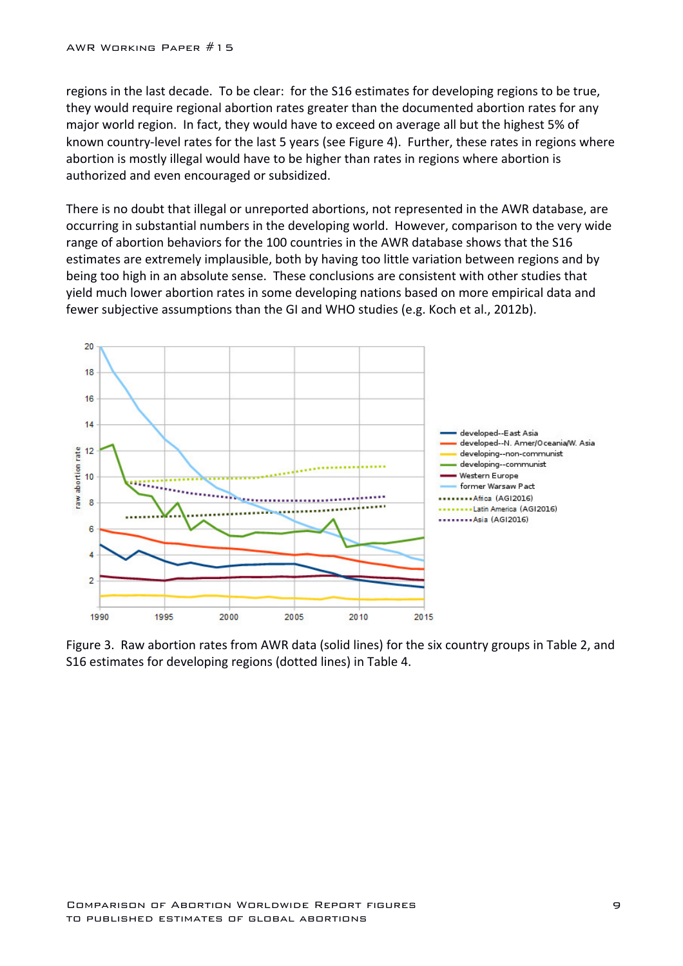regions in the last decade. To be clear: for the S16 estimates for developing regions to be true, they would require regional abortion rates greater than the documented abortion rates for any major world region. In fact, they would have to exceed on average all but the highest 5% of known country-level rates for the last 5 years (see Figure 4). Further, these rates in regions where abortion is mostly illegal would have to be higher than rates in regions where abortion is authorized and even encouraged or subsidized.

There is no doubt that illegal or unreported abortions, not represented in the AWR database, are occurring in substantial numbers in the developing world. However, comparison to the very wide range of abortion behaviors for the 100 countries in the AWR database shows that the S16 estimates are extremely implausible, both by having too little variation between regions and by being too high in an absolute sense. These conclusions are consistent with other studies that yield much lower abortion rates in some developing nations based on more empirical data and fewer subjective assumptions than the GI and WHO studies (e.g. Koch et al., 2012b).



Figure 3. Raw abortion rates from AWR data (solid lines) for the six country groups in Table 2, and S16 estimates for developing regions (dotted lines) in Table 4.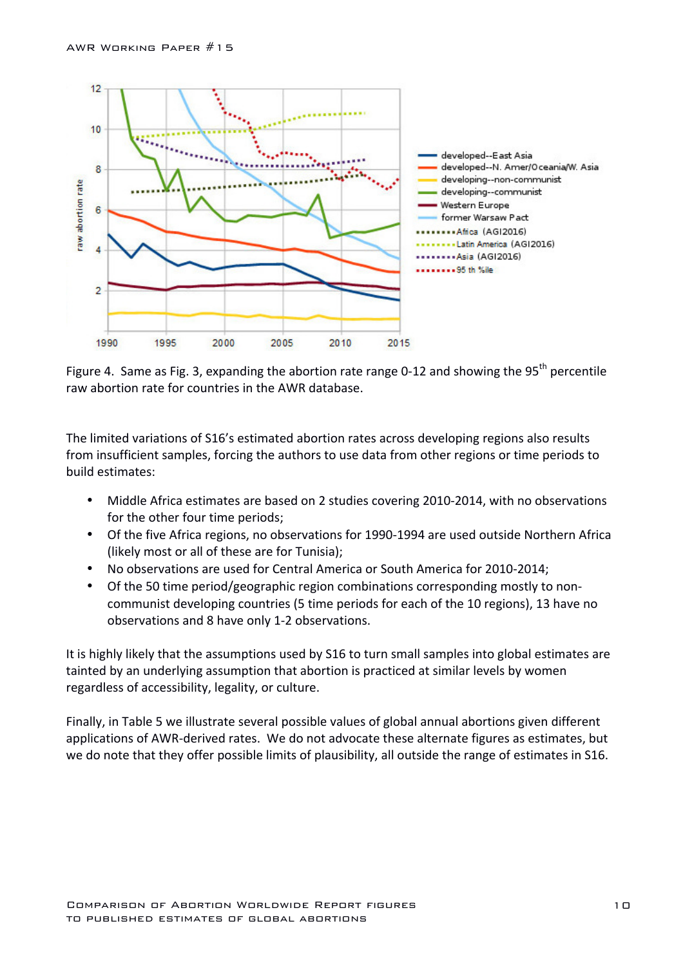

Figure 4. Same as Fig. 3, expanding the abortion rate range 0-12 and showing the 95<sup>th</sup> percentile raw abortion rate for countries in the AWR database.

The limited variations of S16's estimated abortion rates across developing regions also results from insufficient samples, forcing the authors to use data from other regions or time periods to build estimates:

- Middle Africa estimates are based on 2 studies covering 2010-2014, with no observations for the other four time periods;
- Of the five Africa regions, no observations for 1990-1994 are used outside Northern Africa (likely most or all of these are for Tunisia);
- No observations are used for Central America or South America for 2010-2014;
- Of the 50 time period/geographic region combinations corresponding mostly to noncommunist developing countries (5 time periods for each of the 10 regions), 13 have no observations and 8 have only 1-2 observations.

It is highly likely that the assumptions used by S16 to turn small samples into global estimates are tainted by an underlying assumption that abortion is practiced at similar levels by women regardless of accessibility, legality, or culture.

Finally, in Table 5 we illustrate several possible values of global annual abortions given different applications of AWR-derived rates. We do not advocate these alternate figures as estimates, but we do note that they offer possible limits of plausibility, all outside the range of estimates in S16.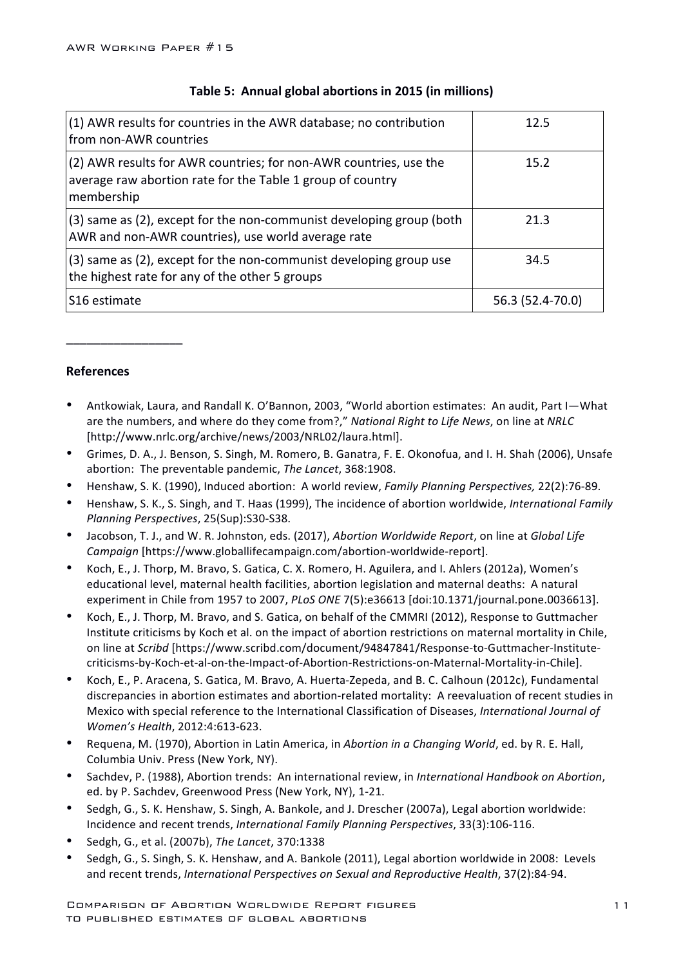| (1) AWR results for countries in the AWR database; no contribution<br>from non-AWR countries                                                  | 12.5             |
|-----------------------------------------------------------------------------------------------------------------------------------------------|------------------|
| (2) AWR results for AWR countries; for non-AWR countries, use the<br>average raw abortion rate for the Table 1 group of country<br>membership | 15.2             |
| (3) same as (2), except for the non-communist developing group (both<br>AWR and non-AWR countries), use world average rate                    | 21.3             |
| (3) same as (2), except for the non-communist developing group use<br>the highest rate for any of the other 5 groups                          | 34.5             |
| S <sub>16</sub> estimate                                                                                                                      | 56.3 (52.4-70.0) |

### **Table 5: Annual global abortions in 2015 (in millions)**

#### **References**

\_\_\_\_\_\_\_\_\_\_\_\_\_\_\_\_\_

- Antkowiak, Laura, and Randall K. O'Bannon, 2003, "World abortion estimates: An audit, Part I-What are the numbers, and where do they come from?," *National Right to Life News*, on line at *NRLC* [http://www.nrlc.org/archive/news/2003/NRL02/laura.html].
- Grimes, D. A., J. Benson, S. Singh, M. Romero, B. Ganatra, F. E. Okonofua, and I. H. Shah (2006), Unsafe abortion: The preventable pandemic, The Lancet, 368:1908.
- Henshaw, S. K. (1990), Induced abortion: A world review, *Family Planning Perspectives*, 22(2):76-89.
- Henshaw, S. K., S. Singh, and T. Haas (1999), The incidence of abortion worldwide, *International Family Planning Perspectives*, 25(Sup):S30-S38.
- Jacobson, T. J., and W. R. Johnston, eds. (2017), *Abortion Worldwide Report*, on line at *Global Life Campaign* [https://www.globallifecampaign.com/abortion-worldwide-report].
- Koch, E., J. Thorp, M. Bravo, S. Gatica, C. X. Romero, H. Aguilera, and I. Ahlers (2012a), Women's educational level, maternal health facilities, abortion legislation and maternal deaths: A natural experiment in Chile from 1957 to 2007, *PLoS ONE* 7(5):e36613 [doi:10.1371/journal.pone.0036613].
- Koch, E., J. Thorp, M. Bravo, and S. Gatica, on behalf of the CMMRI (2012), Response to Guttmacher Institute criticisms by Koch et al. on the impact of abortion restrictions on maternal mortality in Chile, on line at *Scribd* [https://www.scribd.com/document/94847841/Response-to-Guttmacher-Institutecriticisms-by-Koch-et-al-on-the-Impact-of-Abortion-Restrictions-on-Maternal-Mortality-in-Chile].
- Koch, E., P. Aracena, S. Gatica, M. Bravo, A. Huerta-Zepeda, and B. C. Calhoun (2012c), Fundamental discrepancies in abortion estimates and abortion-related mortality: A reevaluation of recent studies in Mexico with special reference to the International Classification of Diseases, *International Journal of Women's Health*, 2012:4:613-623.
- Requena, M. (1970), Abortion in Latin America, in *Abortion in a Changing World*, ed. by R. E. Hall, Columbia Univ. Press (New York, NY).
- Sachdev, P. (1988), Abortion trends: An international review, in *International Handbook on Abortion*, ed. by P. Sachdev, Greenwood Press (New York, NY), 1-21.
- Sedgh, G., S. K. Henshaw, S. Singh, A. Bankole, and J. Drescher (2007a), Legal abortion worldwide: Incidence and recent trends, *International Family Planning Perspectives*, 33(3):106-116.
- Sedgh, G., et al. (2007b), *The Lancet*, 370:1338
- Sedgh, G., S. Singh, S. K. Henshaw, and A. Bankole (2011), Legal abortion worldwide in 2008: Levels and recent trends, *International Perspectives on Sexual and Reproductive Health*, 37(2):84-94.